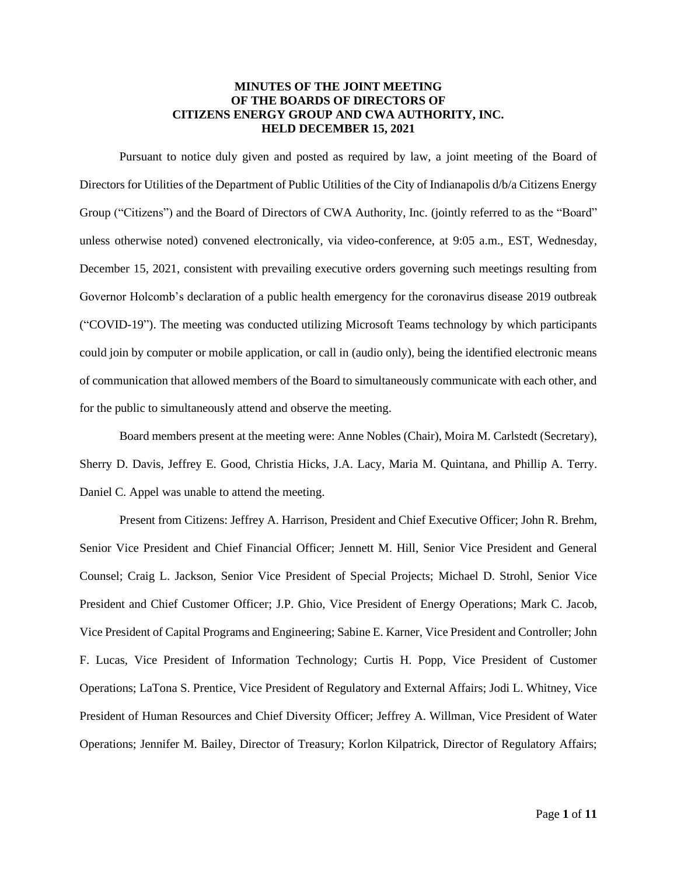# **MINUTES OF THE JOINT MEETING OF THE BOARDS OF DIRECTORS OF CITIZENS ENERGY GROUP AND CWA AUTHORITY, INC. HELD DECEMBER 15, 2021**

Pursuant to notice duly given and posted as required by law, a joint meeting of the Board of Directors for Utilities of the Department of Public Utilities of the City of Indianapolis d/b/a Citizens Energy Group ("Citizens") and the Board of Directors of CWA Authority, Inc. (jointly referred to as the "Board" unless otherwise noted) convened electronically, via video-conference, at 9:05 a.m., EST, Wednesday, December 15, 2021, consistent with prevailing executive orders governing such meetings resulting from Governor Holcomb's declaration of a public health emergency for the coronavirus disease 2019 outbreak ("COVID-19"). The meeting was conducted utilizing Microsoft Teams technology by which participants could join by computer or mobile application, or call in (audio only), being the identified electronic means of communication that allowed members of the Board to simultaneously communicate with each other, and for the public to simultaneously attend and observe the meeting.

Board members present at the meeting were: Anne Nobles (Chair), Moira M. Carlstedt (Secretary), Sherry D. Davis, Jeffrey E. Good, Christia Hicks, J.A. Lacy, Maria M. Quintana, and Phillip A. Terry. Daniel C. Appel was unable to attend the meeting.

Present from Citizens: Jeffrey A. Harrison, President and Chief Executive Officer; John R. Brehm, Senior Vice President and Chief Financial Officer; Jennett M. Hill, Senior Vice President and General Counsel; Craig L. Jackson, Senior Vice President of Special Projects; Michael D. Strohl, Senior Vice President and Chief Customer Officer; J.P. Ghio, Vice President of Energy Operations; Mark C. Jacob, Vice President of Capital Programs and Engineering; Sabine E. Karner, Vice President and Controller; John F. Lucas, Vice President of Information Technology; Curtis H. Popp, Vice President of Customer Operations; LaTona S. Prentice, Vice President of Regulatory and External Affairs; Jodi L. Whitney, Vice President of Human Resources and Chief Diversity Officer; Jeffrey A. Willman, Vice President of Water Operations; Jennifer M. Bailey, Director of Treasury; Korlon Kilpatrick, Director of Regulatory Affairs;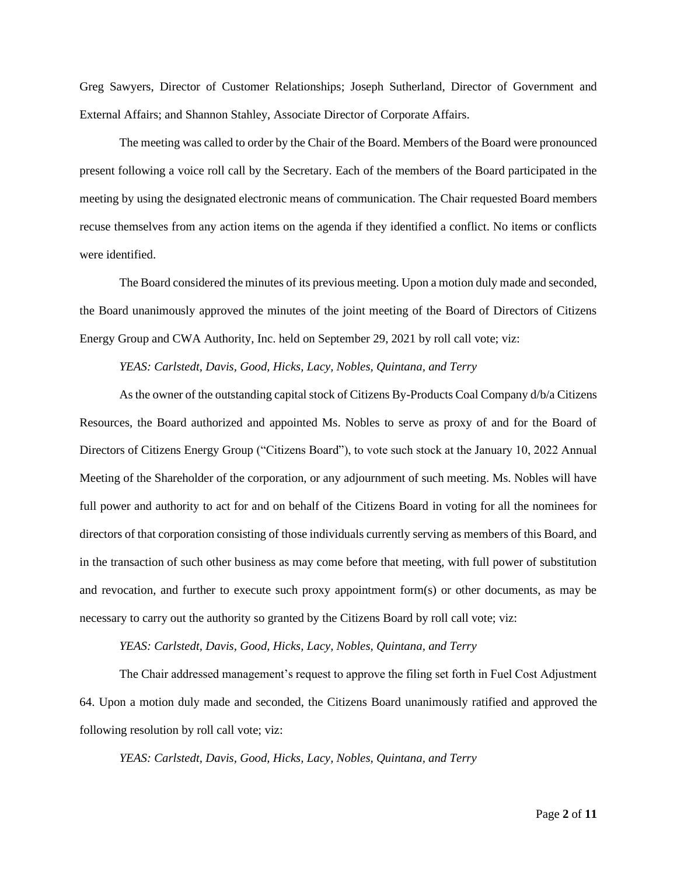Greg Sawyers, Director of Customer Relationships; Joseph Sutherland, Director of Government and External Affairs; and Shannon Stahley, Associate Director of Corporate Affairs.

The meeting was called to order by the Chair of the Board. Members of the Board were pronounced present following a voice roll call by the Secretary. Each of the members of the Board participated in the meeting by using the designated electronic means of communication. The Chair requested Board members recuse themselves from any action items on the agenda if they identified a conflict. No items or conflicts were identified.

The Board considered the minutes of its previous meeting. Upon a motion duly made and seconded, the Board unanimously approved the minutes of the joint meeting of the Board of Directors of Citizens Energy Group and CWA Authority, Inc. held on September 29, 2021 by roll call vote; viz:

#### *YEAS: Carlstedt, Davis, Good, Hicks, Lacy, Nobles, Quintana, and Terry*

As the owner of the outstanding capital stock of Citizens By-Products Coal Company d/b/a Citizens Resources, the Board authorized and appointed Ms. Nobles to serve as proxy of and for the Board of Directors of Citizens Energy Group ("Citizens Board"), to vote such stock at the January 10, 2022 Annual Meeting of the Shareholder of the corporation, or any adjournment of such meeting. Ms. Nobles will have full power and authority to act for and on behalf of the Citizens Board in voting for all the nominees for directors of that corporation consisting of those individuals currently serving as members of this Board, and in the transaction of such other business as may come before that meeting, with full power of substitution and revocation, and further to execute such proxy appointment form(s) or other documents, as may be necessary to carry out the authority so granted by the Citizens Board by roll call vote; viz:

#### *YEAS: Carlstedt, Davis, Good, Hicks, Lacy, Nobles, Quintana, and Terry*

The Chair addressed management's request to approve the filing set forth in Fuel Cost Adjustment 64. Upon a motion duly made and seconded, the Citizens Board unanimously ratified and approved the following resolution by roll call vote; viz:

*YEAS: Carlstedt, Davis, Good, Hicks, Lacy, Nobles, Quintana, and Terry*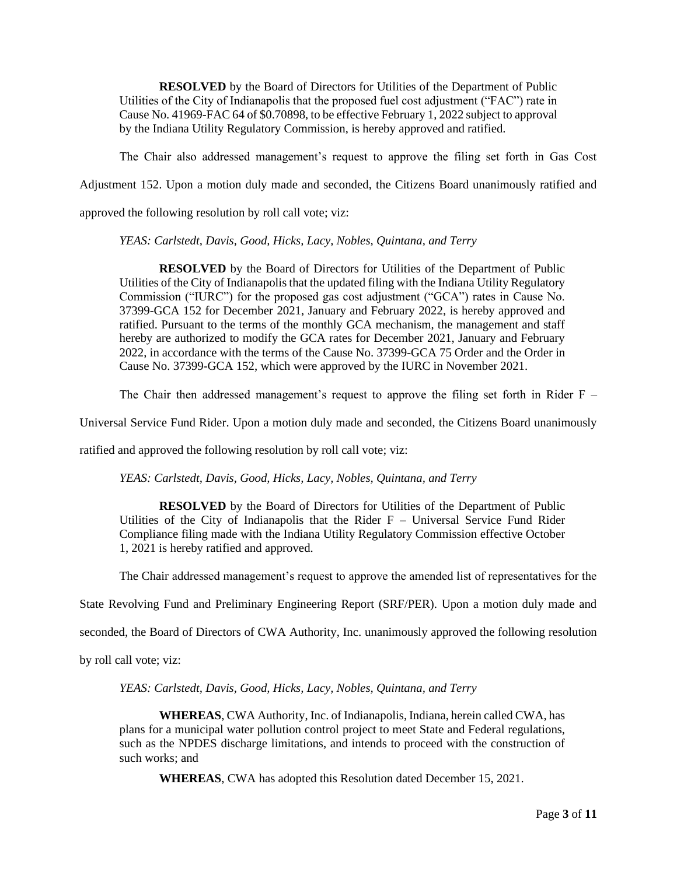**RESOLVED** by the Board of Directors for Utilities of the Department of Public Utilities of the City of Indianapolis that the proposed fuel cost adjustment ("FAC") rate in Cause No. 41969-FAC 64 of \$0.70898, to be effective February 1, 2022 subject to approval by the Indiana Utility Regulatory Commission, is hereby approved and ratified.

The Chair also addressed management's request to approve the filing set forth in Gas Cost

Adjustment 152. Upon a motion duly made and seconded, the Citizens Board unanimously ratified and

approved the following resolution by roll call vote; viz:

*YEAS: Carlstedt, Davis, Good, Hicks, Lacy, Nobles, Quintana, and Terry*

**RESOLVED** by the Board of Directors for Utilities of the Department of Public Utilities of the City of Indianapolis that the updated filing with the Indiana Utility Regulatory Commission ("IURC") for the proposed gas cost adjustment ("GCA") rates in Cause No. 37399-GCA 152 for December 2021, January and February 2022, is hereby approved and ratified. Pursuant to the terms of the monthly GCA mechanism, the management and staff hereby are authorized to modify the GCA rates for December 2021, January and February 2022, in accordance with the terms of the Cause No. 37399-GCA 75 Order and the Order in Cause No. 37399-GCA 152, which were approved by the IURC in November 2021.

The Chair then addressed management's request to approve the filing set forth in Rider  $F -$ 

Universal Service Fund Rider. Upon a motion duly made and seconded, the Citizens Board unanimously

ratified and approved the following resolution by roll call vote; viz:

*YEAS: Carlstedt, Davis, Good, Hicks, Lacy, Nobles, Quintana, and Terry*

**RESOLVED** by the Board of Directors for Utilities of the Department of Public Utilities of the City of Indianapolis that the Rider  $F -$  Universal Service Fund Rider Compliance filing made with the Indiana Utility Regulatory Commission effective October 1, 2021 is hereby ratified and approved.

The Chair addressed management's request to approve the amended list of representatives for the

State Revolving Fund and Preliminary Engineering Report (SRF/PER). Upon a motion duly made and

seconded, the Board of Directors of CWA Authority, Inc. unanimously approved the following resolution

by roll call vote; viz:

*YEAS: Carlstedt, Davis, Good, Hicks, Lacy, Nobles, Quintana, and Terry*

**WHEREAS**, CWA Authority, Inc. of Indianapolis, Indiana, herein called CWA, has plans for a municipal water pollution control project to meet State and Federal regulations, such as the NPDES discharge limitations, and intends to proceed with the construction of such works; and

**WHEREAS**, CWA has adopted this Resolution dated December 15, 2021.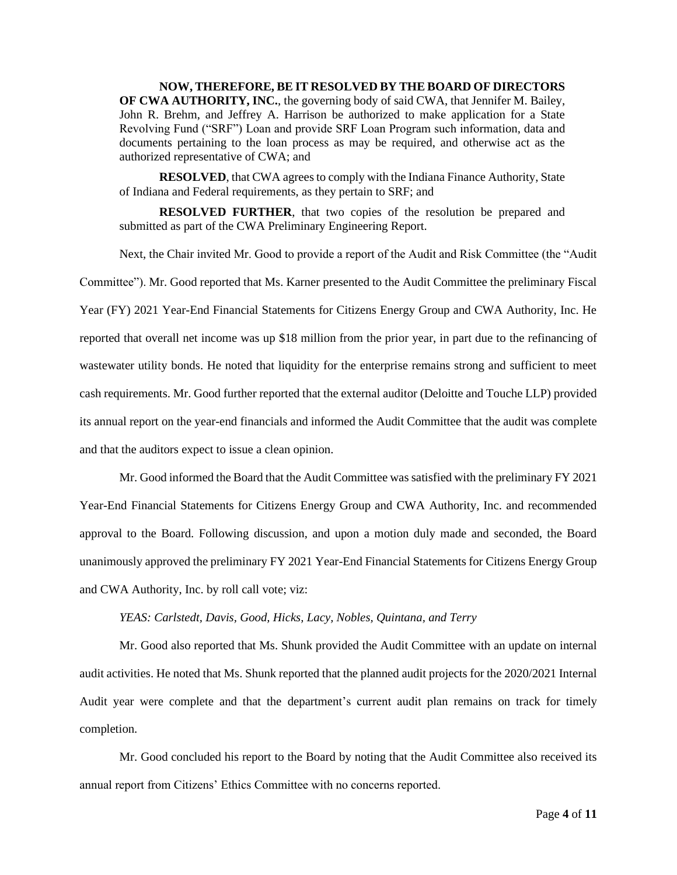**NOW, THEREFORE, BE IT RESOLVED BY THE BOARD OF DIRECTORS OF CWA AUTHORITY, INC.**, the governing body of said CWA, that Jennifer M. Bailey, John R. Brehm, and Jeffrey A. Harrison be authorized to make application for a State Revolving Fund ("SRF") Loan and provide SRF Loan Program such information, data and documents pertaining to the loan process as may be required, and otherwise act as the authorized representative of CWA; and

**RESOLVED**, that CWA agrees to comply with the Indiana Finance Authority, State of Indiana and Federal requirements, as they pertain to SRF; and

**RESOLVED FURTHER**, that two copies of the resolution be prepared and submitted as part of the CWA Preliminary Engineering Report.

Next, the Chair invited Mr. Good to provide a report of the Audit and Risk Committee (the "Audit Committee"). Mr. Good reported that Ms. Karner presented to the Audit Committee the preliminary Fiscal Year (FY) 2021 Year-End Financial Statements for Citizens Energy Group and CWA Authority, Inc. He reported that overall net income was up \$18 million from the prior year, in part due to the refinancing of wastewater utility bonds. He noted that liquidity for the enterprise remains strong and sufficient to meet cash requirements. Mr. Good further reported that the external auditor (Deloitte and Touche LLP) provided its annual report on the year-end financials and informed the Audit Committee that the audit was complete and that the auditors expect to issue a clean opinion.

Mr. Good informed the Board that the Audit Committee was satisfied with the preliminary FY 2021 Year-End Financial Statements for Citizens Energy Group and CWA Authority, Inc. and recommended approval to the Board. Following discussion, and upon a motion duly made and seconded, the Board unanimously approved the preliminary FY 2021 Year-End Financial Statements for Citizens Energy Group and CWA Authority, Inc. by roll call vote; viz:

## *YEAS: Carlstedt, Davis, Good, Hicks, Lacy, Nobles, Quintana, and Terry*

Mr. Good also reported that Ms. Shunk provided the Audit Committee with an update on internal audit activities. He noted that Ms. Shunk reported that the planned audit projects for the 2020/2021 Internal Audit year were complete and that the department's current audit plan remains on track for timely completion.

Mr. Good concluded his report to the Board by noting that the Audit Committee also received its annual report from Citizens' Ethics Committee with no concerns reported.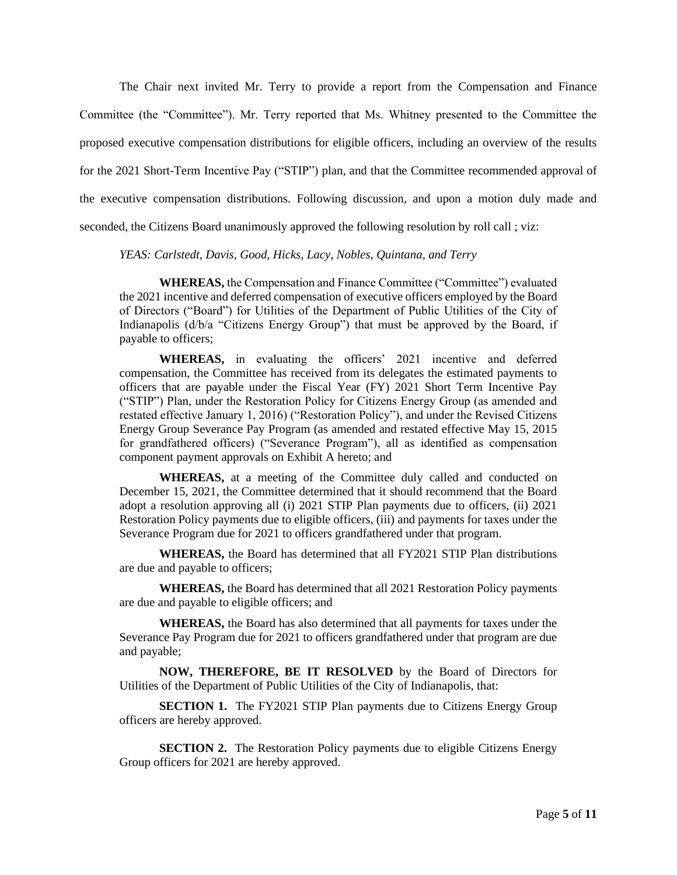The Chair next invited Mr. Terry to provide a report from the Compensation and Finance Committee (the "Committee"). Mr. Terry reported that Ms. Whitney presented to the Committee the proposed executive compensation distributions for eligible officers, including an overview of the results for the 2021 Short-Term Incentive Pay ("STIP") plan, and that the Committee recommended approval of the executive compensation distributions. Following discussion, and upon a motion duly made and seconded, the Citizens Board unanimously approved the following resolution by roll call ; viz:

*YEAS: Carlstedt, Davis, Good, Hicks, Lacy, Nobles, Quintana, and Terry*

**WHEREAS,** the Compensation and Finance Committee ("Committee") evaluated the 2021 incentive and deferred compensation of executive officers employed by the Board of Directors ("Board") for Utilities of the Department of Public Utilities of the City of Indianapolis (d/b/a "Citizens Energy Group") that must be approved by the Board, if payable to officers;

**WHEREAS,** in evaluating the officers' 2021 incentive and deferred compensation, the Committee has received from its delegates the estimated payments to officers that are payable under the Fiscal Year (FY) 2021 Short Term Incentive Pay ("STIP") Plan, under the Restoration Policy for Citizens Energy Group (as amended and restated effective January 1, 2016) ("Restoration Policy"), and under the Revised Citizens Energy Group Severance Pay Program (as amended and restated effective May 15, 2015 for grandfathered officers) ("Severance Program"), all as identified as compensation component payment approvals on Exhibit A hereto; and

**WHEREAS,** at a meeting of the Committee duly called and conducted on December 15, 2021, the Committee determined that it should recommend that the Board adopt a resolution approving all (i) 2021 STIP Plan payments due to officers, (ii) 2021 Restoration Policy payments due to eligible officers, (iii) and payments for taxes under the Severance Program due for 2021 to officers grandfathered under that program.

**WHEREAS,** the Board has determined that all FY2021 STIP Plan distributions are due and payable to officers;

**WHEREAS,** the Board has determined that all 2021 Restoration Policy payments are due and payable to eligible officers; and

**WHEREAS,** the Board has also determined that all payments for taxes under the Severance Pay Program due for 2021 to officers grandfathered under that program are due and payable;

**NOW, THEREFORE, BE IT RESOLVED** by the Board of Directors for Utilities of the Department of Public Utilities of the City of Indianapolis, that:

**SECTION 1.** The FY2021 STIP Plan payments due to Citizens Energy Group officers are hereby approved.

**SECTION 2.** The Restoration Policy payments due to eligible Citizens Energy Group officers for 2021 are hereby approved.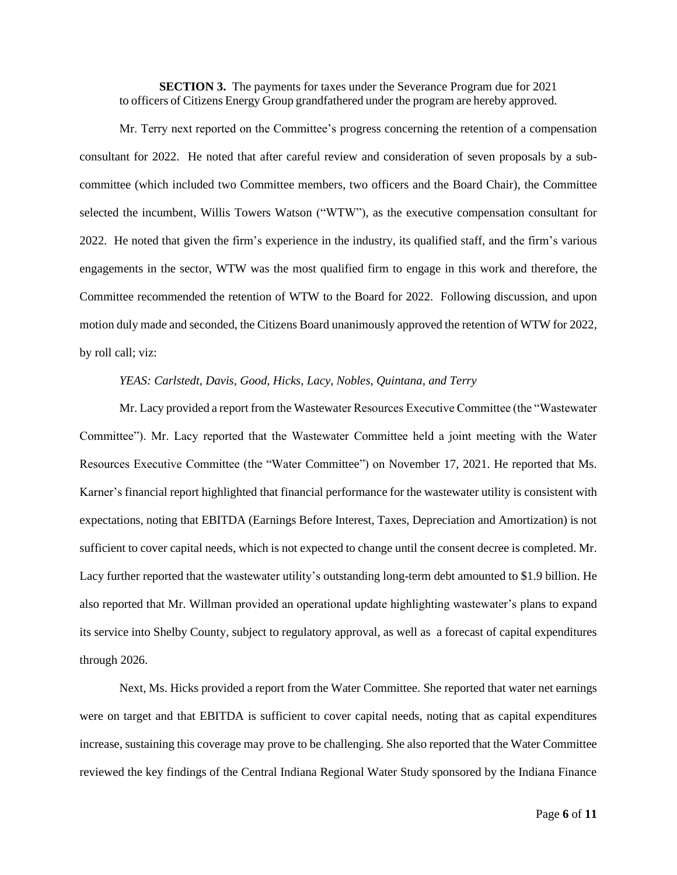**SECTION 3.** The payments for taxes under the Severance Program due for 2021 to officers of Citizens Energy Group grandfathered under the program are hereby approved.

Mr. Terry next reported on the Committee's progress concerning the retention of a compensation consultant for 2022. He noted that after careful review and consideration of seven proposals by a subcommittee (which included two Committee members, two officers and the Board Chair), the Committee selected the incumbent, Willis Towers Watson ("WTW"), as the executive compensation consultant for 2022. He noted that given the firm's experience in the industry, its qualified staff, and the firm's various engagements in the sector, WTW was the most qualified firm to engage in this work and therefore, the Committee recommended the retention of WTW to the Board for 2022. Following discussion, and upon motion duly made and seconded, the Citizens Board unanimously approved the retention of WTW for 2022, by roll call; viz:

## *YEAS: Carlstedt, Davis, Good, Hicks, Lacy, Nobles, Quintana, and Terry*

Mr. Lacy provided a report from the Wastewater Resources Executive Committee (the "Wastewater Committee"). Mr. Lacy reported that the Wastewater Committee held a joint meeting with the Water Resources Executive Committee (the "Water Committee") on November 17, 2021. He reported that Ms. Karner's financial report highlighted that financial performance for the wastewater utility is consistent with expectations, noting that EBITDA (Earnings Before Interest, Taxes, Depreciation and Amortization) is not sufficient to cover capital needs, which is not expected to change until the consent decree is completed. Mr. Lacy further reported that the wastewater utility's outstanding long-term debt amounted to \$1.9 billion. He also reported that Mr. Willman provided an operational update highlighting wastewater's plans to expand its service into Shelby County, subject to regulatory approval, as well as a forecast of capital expenditures through 2026.

Next, Ms. Hicks provided a report from the Water Committee. She reported that water net earnings were on target and that EBITDA is sufficient to cover capital needs, noting that as capital expenditures increase, sustaining this coverage may prove to be challenging. She also reported that the Water Committee reviewed the key findings of the Central Indiana Regional Water Study sponsored by the Indiana Finance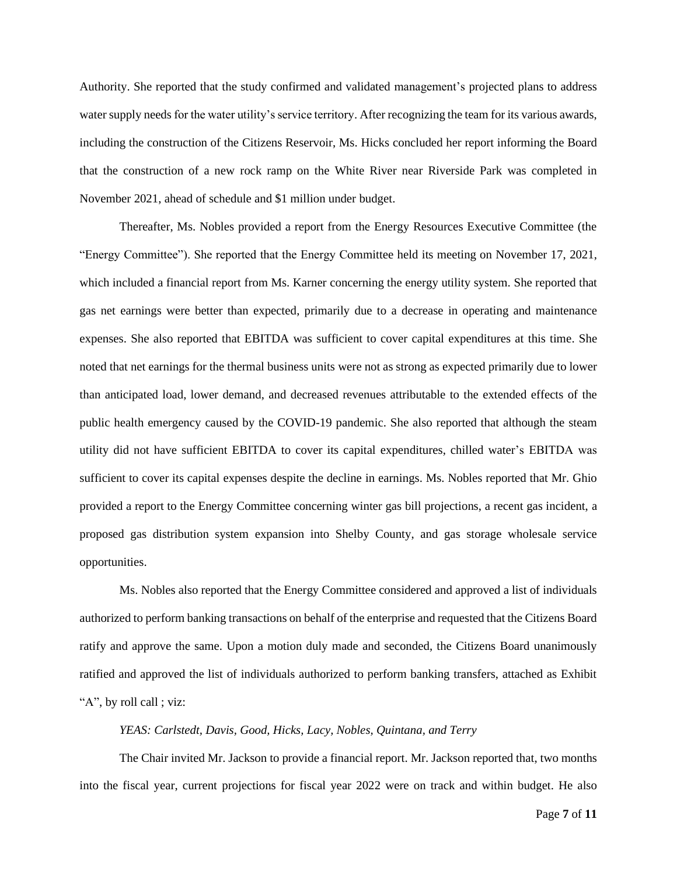Authority. She reported that the study confirmed and validated management's projected plans to address water supply needs for the water utility's service territory. After recognizing the team for its various awards, including the construction of the Citizens Reservoir, Ms. Hicks concluded her report informing the Board that the construction of a new rock ramp on the White River near Riverside Park was completed in November 2021, ahead of schedule and \$1 million under budget.

Thereafter, Ms. Nobles provided a report from the Energy Resources Executive Committee (the "Energy Committee"). She reported that the Energy Committee held its meeting on November 17, 2021, which included a financial report from Ms. Karner concerning the energy utility system. She reported that gas net earnings were better than expected, primarily due to a decrease in operating and maintenance expenses. She also reported that EBITDA was sufficient to cover capital expenditures at this time. She noted that net earnings for the thermal business units were not as strong as expected primarily due to lower than anticipated load, lower demand, and decreased revenues attributable to the extended effects of the public health emergency caused by the COVID-19 pandemic. She also reported that although the steam utility did not have sufficient EBITDA to cover its capital expenditures, chilled water's EBITDA was sufficient to cover its capital expenses despite the decline in earnings. Ms. Nobles reported that Mr. Ghio provided a report to the Energy Committee concerning winter gas bill projections, a recent gas incident, a proposed gas distribution system expansion into Shelby County, and gas storage wholesale service opportunities.

Ms. Nobles also reported that the Energy Committee considered and approved a list of individuals authorized to perform banking transactions on behalf of the enterprise and requested that the Citizens Board ratify and approve the same. Upon a motion duly made and seconded, the Citizens Board unanimously ratified and approved the list of individuals authorized to perform banking transfers, attached as Exhibit "A", by roll call ; viz:

## *YEAS: Carlstedt, Davis, Good, Hicks, Lacy, Nobles, Quintana, and Terry*

The Chair invited Mr. Jackson to provide a financial report. Mr. Jackson reported that, two months into the fiscal year, current projections for fiscal year 2022 were on track and within budget. He also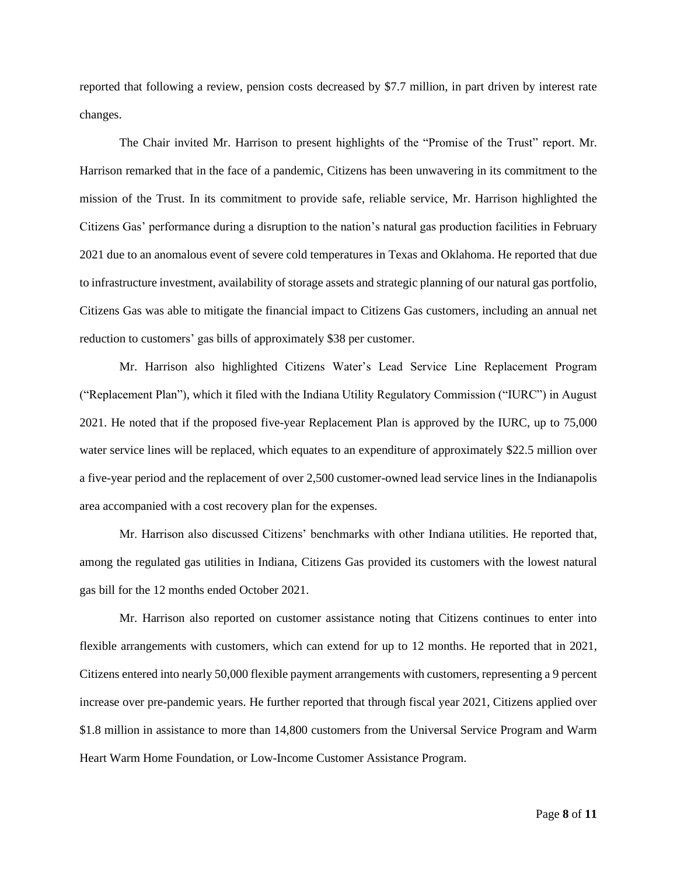reported that following a review, pension costs decreased by \$7.7 million, in part driven by interest rate changes.

The Chair invited Mr. Harrison to present highlights of the "Promise of the Trust" report. Mr. Harrison remarked that in the face of a pandemic, Citizens has been unwavering in its commitment to the mission of the Trust. In its commitment to provide safe, reliable service, Mr. Harrison highlighted the Citizens Gas' performance during a disruption to the nation's natural gas production facilities in February 2021 due to an anomalous event of severe cold temperatures in Texas and Oklahoma. He reported that due to infrastructure investment, availability of storage assets and strategic planning of our natural gas portfolio, Citizens Gas was able to mitigate the financial impact to Citizens Gas customers, including an annual net reduction to customers' gas bills of approximately \$38 per customer.

Mr. Harrison also highlighted Citizens Water's Lead Service Line Replacement Program ("Replacement Plan"), which it filed with the Indiana Utility Regulatory Commission ("IURC") in August 2021. He noted that if the proposed five-year Replacement Plan is approved by the IURC, up to 75,000 water service lines will be replaced, which equates to an expenditure of approximately \$22.5 million over a five-year period and the replacement of over 2,500 customer-owned lead service lines in the Indianapolis area accompanied with a cost recovery plan for the expenses.

Mr. Harrison also discussed Citizens' benchmarks with other Indiana utilities. He reported that, among the regulated gas utilities in Indiana, Citizens Gas provided its customers with the lowest natural gas bill for the 12 months ended October 2021.

Mr. Harrison also reported on customer assistance noting that Citizens continues to enter into flexible arrangements with customers, which can extend for up to 12 months. He reported that in 2021, Citizens entered into nearly 50,000 flexible payment arrangements with customers, representing a 9 percent increase over pre-pandemic years. He further reported that through fiscal year 2021, Citizens applied over \$1.8 million in assistance to more than 14,800 customers from the Universal Service Program and Warm Heart Warm Home Foundation, or Low-Income Customer Assistance Program.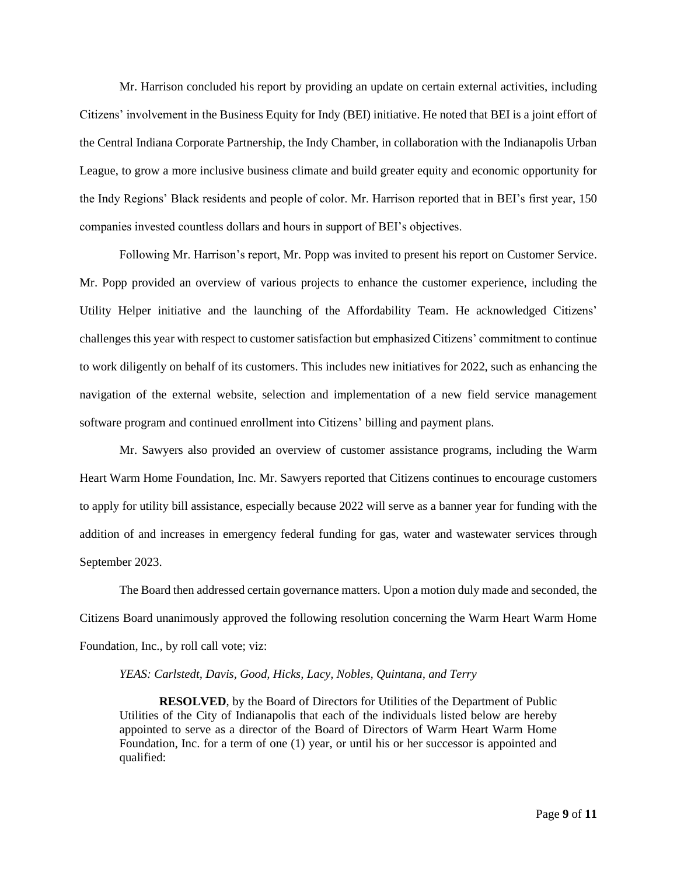Mr. Harrison concluded his report by providing an update on certain external activities, including Citizens' involvement in the Business Equity for Indy (BEI) initiative. He noted that BEI is a joint effort of the Central Indiana Corporate Partnership, the Indy Chamber, in collaboration with the Indianapolis Urban League, to grow a more inclusive business climate and build greater equity and economic opportunity for the Indy Regions' Black residents and people of color. Mr. Harrison reported that in BEI's first year, 150 companies invested countless dollars and hours in support of BEI's objectives.

Following Mr. Harrison's report, Mr. Popp was invited to present his report on Customer Service. Mr. Popp provided an overview of various projects to enhance the customer experience, including the Utility Helper initiative and the launching of the Affordability Team. He acknowledged Citizens' challenges this year with respect to customer satisfaction but emphasized Citizens' commitment to continue to work diligently on behalf of its customers. This includes new initiatives for 2022, such as enhancing the navigation of the external website, selection and implementation of a new field service management software program and continued enrollment into Citizens' billing and payment plans.

Mr. Sawyers also provided an overview of customer assistance programs, including the Warm Heart Warm Home Foundation, Inc. Mr. Sawyers reported that Citizens continues to encourage customers to apply for utility bill assistance, especially because 2022 will serve as a banner year for funding with the addition of and increases in emergency federal funding for gas, water and wastewater services through September 2023.

The Board then addressed certain governance matters. Upon a motion duly made and seconded, the Citizens Board unanimously approved the following resolution concerning the Warm Heart Warm Home Foundation, Inc., by roll call vote; viz:

#### *YEAS: Carlstedt, Davis, Good, Hicks, Lacy, Nobles, Quintana, and Terry*

**RESOLVED**, by the Board of Directors for Utilities of the Department of Public Utilities of the City of Indianapolis that each of the individuals listed below are hereby appointed to serve as a director of the Board of Directors of Warm Heart Warm Home Foundation, Inc. for a term of one (1) year, or until his or her successor is appointed and qualified: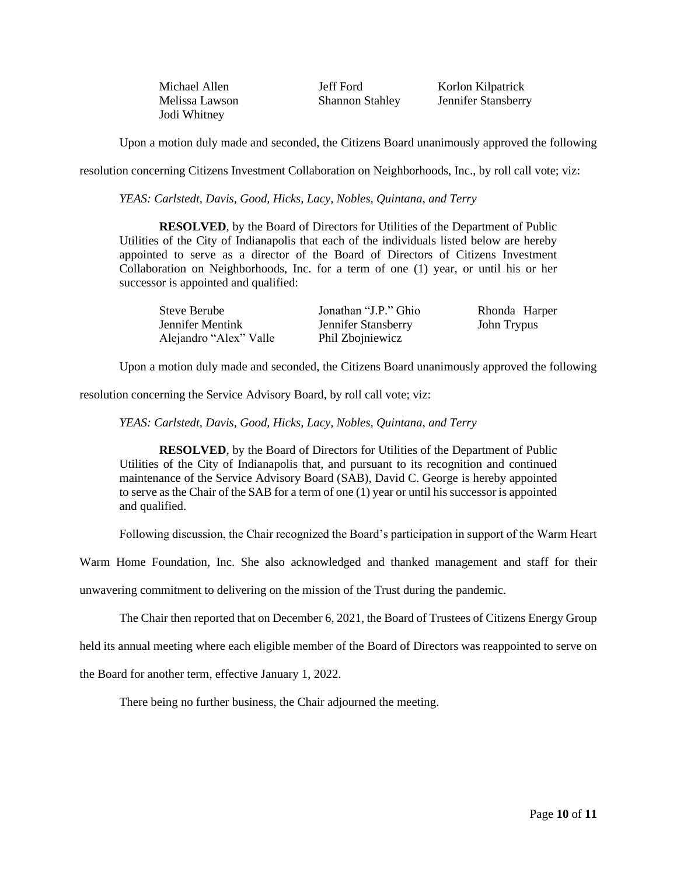Jodi Whitney

Michael Allen Jeff Ford Korlon Kilpatrick Melissa Lawson Shannon Stahley Jennifer Stansberry

Upon a motion duly made and seconded, the Citizens Board unanimously approved the following

resolution concerning Citizens Investment Collaboration on Neighborhoods, Inc., by roll call vote; viz:

*YEAS: Carlstedt, Davis, Good, Hicks, Lacy, Nobles, Quintana, and Terry*

**RESOLVED**, by the Board of Directors for Utilities of the Department of Public Utilities of the City of Indianapolis that each of the individuals listed below are hereby appointed to serve as a director of the Board of Directors of Citizens Investment Collaboration on Neighborhoods, Inc. for a term of one (1) year, or until his or her successor is appointed and qualified:

| Steve Berube           | Jonathan "J.P." Ghio | Rhonda Harper |
|------------------------|----------------------|---------------|
| Jennifer Mentink       | Jennifer Stansberry  | John Trypus   |
| Alejandro "Alex" Valle | Phil Zbojniewicz     |               |

Upon a motion duly made and seconded, the Citizens Board unanimously approved the following

resolution concerning the Service Advisory Board, by roll call vote; viz:

*YEAS: Carlstedt, Davis, Good, Hicks, Lacy, Nobles, Quintana, and Terry*

**RESOLVED**, by the Board of Directors for Utilities of the Department of Public Utilities of the City of Indianapolis that, and pursuant to its recognition and continued maintenance of the Service Advisory Board (SAB), David C. George is hereby appointed to serve as the Chair of the SAB for a term of one (1) year or until his successor is appointed and qualified.

Following discussion, the Chair recognized the Board's participation in support of the Warm Heart

Warm Home Foundation, Inc. She also acknowledged and thanked management and staff for their

unwavering commitment to delivering on the mission of the Trust during the pandemic.

The Chair then reported that on December 6, 2021, the Board of Trustees of Citizens Energy Group

held its annual meeting where each eligible member of the Board of Directors was reappointed to serve on

the Board for another term, effective January 1, 2022.

There being no further business, the Chair adjourned the meeting.